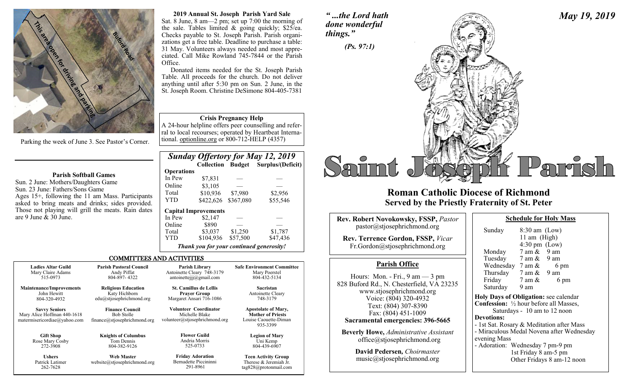

Parking the week of June 3. See Pastor's Corner.

#### **Parish Softball Games**

Sun. 2 June: Mothers/Daughters Game Sun. 23 June: Fathers/Sons Game Ages 15+, following the 11 am Mass. Participants asked to bring meats and drinks; sides provided. Those not playing will grill the meats. Rain dates are 9 June & 30 June.

262-7628

#### **2019 Annual St. Joseph Parish Yard Sale** Sat. 8 June, 8 am—2 pm; set up 7:00 the morning of the sale. Tables limited & going quickly; \$25/ea. Checks payable to St. Joseph Parish. Parish organizations get a free table. Deadline to purchase a table: 31 May. Volunteers always needed and most appreciated. Call Mike Rowland 745-7844 or the Parish Office.

Donated items needed for the St. Joseph Parish Table. All proceeds for the church. Do not deliver anything until after 5:30 pm on Sun. 2 June, in the St. Joseph Room. Christine DeSimone 804-405-7381

#### **Crisis Pregnancy Help**

A 24-hour helpline offers peer counselling and referral to local recourses; operated by Heartbeat International. optionline.org or 800-712-HELP (4357)

|                   |                                          |           | <b>Sunday Offertory for May 12, 2019</b> |
|-------------------|------------------------------------------|-----------|------------------------------------------|
|                   |                                          |           | Collection Budget Surplus/(Deficit)      |
| <b>Operations</b> |                                          |           |                                          |
| In Pew            | \$7,831                                  |           |                                          |
| Online            | \$3,105                                  |           |                                          |
| Total             | \$10,936                                 | \$7,980   | \$2,956                                  |
| <b>YTD</b>        | \$422,626                                | \$367,080 | \$55,546                                 |
|                   | <b>Capital Improvements</b>              |           |                                          |
| In Pew            | \$2,147                                  |           |                                          |
| Online            | \$890                                    |           |                                          |
| Total             | \$3,037                                  | \$1,250   | \$1,787                                  |
| <b>YTD</b>        | \$104,936                                | \$57,500  | \$47,436                                 |
|                   | Thank you for your continued generosity! |           |                                          |

tag828@protonmail.com

#### COMMITTEES AND ACTIVITIES

| <b>Ladies Altar Guild</b>                                                           | <b>Parish Pastoral Council</b>                                              | Parish Library                                                                   | <b>Safe Environment Committee</b>                                                           |
|-------------------------------------------------------------------------------------|-----------------------------------------------------------------------------|----------------------------------------------------------------------------------|---------------------------------------------------------------------------------------------|
| Mary Claire Adams                                                                   | Andy Piffat                                                                 | Antoinette Cleary 748-3179                                                       | Mary Poerstel                                                                               |
| 515-0973                                                                            | 804-897-4322                                                                | antoinettejjj $@g$ mail.com                                                      | 804-432-5134                                                                                |
| <b>Maintenance/Improvements</b>                                                     | <b>Religious Education</b>                                                  | <b>St. Camillus de Lellis</b>                                                    | Sacristan                                                                                   |
| John Hewitt                                                                         | Katy Hichborn                                                               | <b>Prayer Group</b>                                                              | Antoinette Cleary                                                                           |
| 804-320-4932                                                                        | edu@stjosephrichmond.org                                                    | Margaret Ansari 716-1086                                                         | 748-3179                                                                                    |
| <b>Savvy Seniors</b><br>Mary Alice Hoffman 440-1618<br>matermisericordiae@yahoo.com | <b>Finance Council</b><br><b>Bob Stolle</b><br>finance@stjosephrichmond.org | <b>Volunteer Coordinator</b><br>Michelle Blake<br>volunteer@stjosephrichmond.org | <b>Apostolate of Mary,</b><br><b>Mother of Priests</b><br>Louise Caouette-Diman<br>935-3399 |
| <b>Gift Shop</b>                                                                    | <b>Knights of Columbus</b>                                                  | <b>Flower Guild</b>                                                              | <b>Legion of Mary</b>                                                                       |
| Rose Mary Cosby                                                                     | Tom Dennis                                                                  | Andria Morris                                                                    | Uni Kemp                                                                                    |
| 272-3908                                                                            | 804-382-9126                                                                | 525-0733                                                                         | 804-439-6907                                                                                |
| <b>Ushers</b>                                                                       | <b>Web Master</b>                                                           | <b>Friday Adoration</b>                                                          | <b>Teen Activity Group</b>                                                                  |
| Patrick Latimer                                                                     | website@stjosephrichmond.org                                                | Bernadette Piccininni                                                            | Therese & Jeremiah Jr.                                                                      |

291-8961

# *" ...the Lord hath done wonderful*



## **Roman Catholic Diocese of Richmond Served by the Priestly Fraternity of St. Peter**

| <b>Rev. Robert Novokowsky, FSSP, Pastor</b><br>pastor@stjosephrichmond.org<br><b>Rev. Terrence Gordon, FSSP, Vicar</b><br>Fr.Gordon@stjosephrichmond.org                                                                                                                                                                | Sunday<br>Monda<br>Tuesda                                                                                                                                              |
|-------------------------------------------------------------------------------------------------------------------------------------------------------------------------------------------------------------------------------------------------------------------------------------------------------------------------|------------------------------------------------------------------------------------------------------------------------------------------------------------------------|
| <b>Parish Office</b>                                                                                                                                                                                                                                                                                                    | Wedne:<br>Thursda<br>Friday<br>Saturda<br><b>Holy Days</b><br><b>Confession</b><br>Satu<br><b>Devotions:</b><br>- 1st Sat. R<br>- Miraculo<br>evening M<br>- Adoration |
| Hours: Mon. - Fri., $9 \text{ am} - 3 \text{ pm}$<br>828 Buford Rd., N. Chesterfield, VA 23235<br>www.stjosephrichmond.org<br>Voice: (804) 320-4932<br>Text: (804) 307-8390<br>Fax: (804) 451-1009<br>Sacramental emergencies: 396-5665<br><b>Beverly Howe, Administrative Assistant</b><br>office@stjosephrichmond.org |                                                                                                                                                                        |
| David Pedersen, Choirmaster<br>music@stjosephrichmond.org                                                                                                                                                                                                                                                               |                                                                                                                                                                        |

| Sunday                                                   | $8:30$ am $(Low)$       |                                           |
|----------------------------------------------------------|-------------------------|-------------------------------------------|
|                                                          | 11 am $(High)$          |                                           |
|                                                          | $4:30 \text{ pm}$ (Low) |                                           |
| Monday                                                   | $7$ am $\&$ 9 am        |                                           |
| Tuesday 7 am & 9 am                                      |                         |                                           |
| Wednesday $7 \text{ am } \& 6 \text{ pm}$                |                         |                                           |
| Thursday $7 \text{ am } \& 9 \text{ am}$                 |                         |                                           |
| Friday                                                   | 7 am &                  | 6 pm                                      |
| Saturday 9 am                                            |                         |                                           |
| Holy Days of Obligation: see calendar                    |                         |                                           |
| <b>Confession:</b> $\frac{1}{2}$ hour before all Masses, |                         |                                           |
|                                                          |                         | Saturdays - 10 am to 12 noon              |
| <b>Devotions:</b>                                        |                         |                                           |
| - 1st Sat. Rosary & Meditation after Mass                |                         |                                           |
|                                                          |                         | - Miraculous Medal Novena after Wednesday |
| evening Mass                                             |                         |                                           |
| - Adoration: Wednesday 7 pm-9 pm                         |                         |                                           |
|                                                          | 1st Friday 8 am-5 pm    |                                           |
|                                                          |                         | Other Fridays 8 am-12 noon                |
|                                                          |                         |                                           |

**Schedule for Holy Mass** 

*May 19, 2019*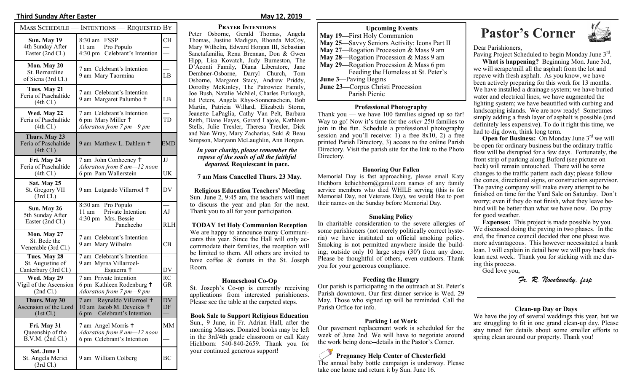#### **Third Sunday After Easter May 12, 2019**

|                                                                 | MASS SCHEDULE — INTENTIONS — REQUESTED BY                                                |                  |
|-----------------------------------------------------------------|------------------------------------------------------------------------------------------|------------------|
| Sun. May 19<br>4th Sunday After<br>Easter (2nd Cl.)             | <b>FSSP</b><br>8:30 am<br>Pro Populo<br>11 am<br>4:30 pm Celebrant's Intention           | CН               |
| Mon. May 20<br>St. Bernardine<br>of Siena (3rd Cl.)             | 7 am Celebrant's Intention<br>9 am Mary Taormina                                         | LB               |
| Tues. May 21<br>Feria of Paschaltide<br>(4th Cl.)               | 7 am Celebrant's Intention<br>9 am Margaret Palumbo †                                    | LB               |
| Wed. May 22<br>Feria of Paschaltide<br>(4th Cl.)                | 7 am Celebrant's Intention<br>6 pm Mary Miller +<br>Adoration from 7 pm-9 pm             | TD               |
| Thurs. May 23<br>Feria of Paschaltide<br>(4th Cl.)              | 9 am Matthew L. Dahlem +                                                                 | <b>EMD</b>       |
| Fri. May 24<br>Feria of Paschaltide<br>(4th Cl.)                | 7 am John Conheeney †<br>Adoration from 8 am-12 noon<br>6 pm Pam Wallerstein             | JJ<br>UK         |
| Sat. May 25<br>St. Gregory VII<br>(3rd Cl.)                     | 9 am Lutgardo Villarroel +                                                               | DV               |
| Sun. May 26<br>5th Sunday After<br>Easter (2nd Cl.)             | 8:30 am Pro Populo<br>Private Intention<br>$11$ am<br>4:30 pm Mrs. Bessie<br>Panchecho   | AJ<br><b>RLH</b> |
| Mon. May 27<br>St. Bede the<br>Venerable (3rd Cl.)              | 7 am Celebrant's Intention<br>9 am Mary Wilhelm                                          | CB               |
| Tues. May 28<br>St. Augustine of<br>Canterbury (3rd Cl.)        | 7 am Celebrant's Intention<br>9 am Myrna Villarroel-<br>Esguerra †                       | DV               |
| Wed. May 29<br>Vigil of the Ascension<br>(2nd Cl.)              | 7 am Private Intention<br>6 pm Kathleen Rodenburg +<br>Adoration from 7 pm-9 pm          | <b>RC</b><br>GR  |
| Thurs. May 30<br>Ascension of the Lord<br>$(1st \, \text{Cl.})$ | 7 am Reynaldo Villarroel +<br>10 am Jacob M. Deveikis †<br>Celebrant's Intention<br>6 pm | <b>DV</b><br>DF  |
| Fri. May 31<br>Queenship of the<br>B.V.M. (2nd Cl.)             | 7 am Angel Morris †<br>Adoration from 8 am-12 noon<br>6 pm Celebrant's Intention         | MМ               |
| Sat. June 1<br>St. Angela Merici<br>(3rd Cl.)                   | 9 am William Colberg                                                                     | BС               |

**Prayer Intentions**

Peter Osborne, Gerald Thomas, Angela Thomas, Justine Madigan, Rhonda McCoy, Mary Wilhelm, Edward Horgan III, Sebastian Sanctafamilia, Renu Brennan, Don & Gwen Hipp, Lisa Kovatch, Judy Burneston, The D'Aconti Family, Diana Liberatore, Jane Dembner-Osborne, Darryl Church, Tom Osborne, Margaret Stacy, Andrew Priddy, Dorothy McKinley, The Patrowicz Family, Joe Bush, Natalie McNiel, Charles Furlough, Ed Peters, Angela Rhys-Sonnenschein, Bob Martin, Patricia Willard, Elizabeth Storm, Jeanette LaPaglia, Cathy Van Pelt, Barbara Reith, Diane Hayes, Gerard Lajoie, Kathleen Stells, Julie Trexler, Theresa Trexler, Dick and Nan Wray, Mary Zacharias, Suki & Beau Simpson, Maryann McLaughlin, Ann Horgan.

#### *In your charity, please remember the repose of the souls of all the faithful departed.* **Requiescant in pace.**

**7 am Mass Cancelled Thurs. 23 May.**

**Religious Education Teachers' Meeting** Sun. June 2, 9:45 am, the teachers will meet to discuss the year and plan for the next. Thank you to all for your participation.

**TODAY 1st Holy Communion Reception** We are happy to announce many Communicants this year. Since the Hall will only accommodate their families, the reception will be limited to them. All others are invited to have coffee & donuts in the St. Joseph Room.

#### **Homeschool Co-Op**

St. Joseph's Co-op is currently receiving applications from interested parishioners. Please see the table at the carpeted steps.

**Book Sale to Support Religious Education** Sun., 9 June, in Fr. Adrian Hall, after the morning Masses. Donated books may be left in the 3rd/4th grade classroom or call Katy Hichborn: 540-840-2659. Thank you for your continued generous support!

| <b>Upcoming Events</b>                       |
|----------------------------------------------|
| May 19—First Holy Communion                  |
| May 25—Savvy Seniors Activity: Icons Part II |
| May 27—Rogation Procession & Mass 9 am       |
| May 28—Rogation Procession & Mass 9 am       |
| May 29—Rogation Procession & Mass 6 pm       |
| Feeding the Homeless at St. Peter's          |
| <b>June 3—Paving Begins</b>                  |
| <b>June 23—Corpus Christi Procession</b>     |
| Parish Pienie                                |

#### **Professional Photography**

Thank you — we have 100 families signed up so far! Way to go! Now it's time for the *other* 250 families to join in the fun. Schedule a professional photography session and you'll receive:  $\overline{1}$ ) a free 8x10, 2) a free printed Parish Directory, 3) access to the online Parish Directory. Visit the parish site for the link to the Photo Directory.

#### **Honoring Our Fallen**

Memorial Day is fast approaching, please email Katy Hichborn [kdhichborn@gamil.com](mailto:kdhichborn@gamil.com) names of any family service members who died WHILE serving (this is for Memorial Day, not Veterans Day), we would like to post their names on the Sunday before Memorial Day.

#### **Smoking Policy**

In charitable consideration to the severe allergies of some parishioners (not merely politically correct hysteria) we have instituted an official smoking policy. Smoking is not permitted anywhere inside the building; outside only 10 large steps (30') from any door. Please be thoughtful of others, even outdoors. Thank you for your generous compliance.

#### **Feeding the Hungry**

Our parish is participating in the outreach at St. Peter's Parish downtown. Our first dinner service is Wed. 29 May. Those who signed up will be reminded. Call the Parish Office for info.

#### **Parking Lot Work**

Our pavement replacement work is scheduled for the week of June 2nd. We will have to negotiate around the work being done--details in the Pastor's Corner.

### **Pregnancy Help Center of Chesterfield**

The annual baby bottle campaign is underway. Please take one home and return it by Sun. June 16.

# **Pastor's Corner**



Dear Parishioners,

Paving Project Scheduled to begin Monday June 3rd.

**What is happening?** Beginning Mon. June 3rd, we will scrape/mill all the asphalt from the lot and repave with fresh asphalt. As you know, we have been actively preparing for this work for 13 months. We have installed a drainage system; we have buried water and electrical lines; we have augmented the lighting system; we have beautified with curbing and landscaping islands. We are now ready! Sometimes simply adding a fresh layer of asphalt is possible (and definitely less expensive). To do it right this time, we had to dig down, think long term.

**Open for Business:** On Monday June 3<sup>rd</sup> we will be open for ordinary business but the ordinary traffic flow will be disrupted for a few days. Fortunately, the front strip of parking along Buford (see picture on back) will remain untouched. There will be some changes to the traffic pattern each day; please follow the cones, directional signs, or construction supervisor. The paving company will make every attempt to be finished on time for the Yard Sale on Saturday. Don't worry; even if they do not finish, what they leave behind will be better than what we have now. Do pray for good weather.

**Expenses:** This project is made possible by you. We discussed doing the paving in two phases. In the end, the finance council decided that one phase was more advantageous. This however necessitated a bank loan. I will explain in detail how we will pay back this loan next week. Thank you for sticking with me during this process.

God love you,

*Fr. R. Novokowsky, fssp* 

#### **Clean-up Day or Days**

We have the joy of several weddings this year, but we are struggling to fit in one grand clean-up day. Please stay tuned for details about some smaller efforts to spring clean around our property. Thank you!